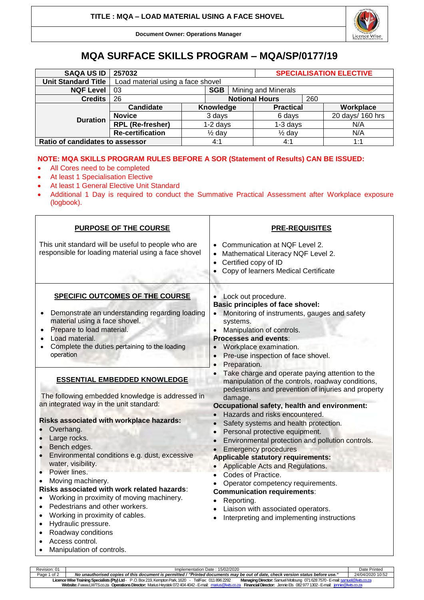Licence Wise

**Document Owner: Operations Manager**

# **MQA SURFACE SKILLS PROGRAM – MQA/SP/0177/19**

| <b>SAQA US ID</b>               | 257032                            |                   |           |                     | <b>SPECIALISATION ELECTIVE</b> |  |                  |
|---------------------------------|-----------------------------------|-------------------|-----------|---------------------|--------------------------------|--|------------------|
| <b>Unit Standard Title</b>      | Load material using a face shovel |                   |           |                     |                                |  |                  |
| <b>NQF Level</b>                | <b>SGB</b><br>-03                 |                   |           | Mining and Minerals |                                |  |                  |
| <b>Credits</b>                  | 26                                |                   |           |                     | <b>Notional Hours</b>          |  |                  |
|                                 | Candidate                         |                   | Knowledge |                     | <b>Practical</b>               |  | Workplace        |
| <b>Duration</b>                 | <b>Novice</b>                     | 3 days            |           |                     | 6 days                         |  | 20 days/ 160 hrs |
|                                 | <b>RPL (Re-fresher)</b>           | $1-2$ days        |           |                     | $1-3$ days                     |  | N/A              |
|                                 | <b>Re-certification</b>           | $\frac{1}{2}$ day |           |                     | $\frac{1}{2}$ day              |  | N/A              |
| Ratio of candidates to assessor |                                   |                   | 4:1       |                     | 4:1                            |  | 1:1              |

## **NOTE: MQA SKILLS PROGRAM RULES BEFORE A SOR (Statement of Results) CAN BE ISSUED:**

- All Cores need to be completed
- At least 1 Specialisation Elective
- At least 1 General Elective Unit Standard
- Additional 1 Day is required to conduct the Summative Practical Assessment after Workplace exposure (logbook).

| This unit standard will be useful to people who are<br>Communication at NQF Level 2.<br>responsible for loading material using a face shovel<br>Mathematical Literacy NQF Level 2.<br>$\bullet$<br>Certified copy of ID<br>$\bullet$<br>Copy of learners Medical Certificate<br>$\bullet$<br>SPECIFIC OUTCOMES OF THE COURSE<br>Lock out procedure.<br><b>Basic principles of face shovel:</b><br>Demonstrate an understanding regarding loading<br>Monitoring of instruments, gauges and safety<br>material using a face shovel.<br>systems.<br>Prepare to load material.<br>Manipulation of controls.<br><b>Processes and events:</b><br>Load material.<br>Complete the duties pertaining to the loading<br>Workplace examination.<br>operation<br>Pre-use inspection of face shovel.<br>$\bullet$<br>Preparation.<br>Take charge and operate paying attention to the<br><b>ESSENTIAL EMBEDDED KNOWLEDGE</b><br>manipulation of the controls, roadway conditions,<br>pedestrians and prevention of injuries and property<br>The following embedded knowledge is addressed in<br>damage.<br>an integrated way in the unit standard:<br>Occupational safety, health and environment:<br>• Hazards and risks encountered.<br>Risks associated with workplace hazards:<br>Safety systems and health protection.<br>Overhang.<br>Personal protective equipment.<br>$\bullet$<br>Large rocks.<br>Environmental protection and pollution controls.<br>Bench edges.<br><b>Emergency procedures</b><br>Environmental conditions e.g. dust, excessive<br><b>Applicable statutory requirements:</b><br>water, visibility.<br>Applicable Acts and Regulations.<br>Power lines.<br>$\bullet$<br>Codes of Practice.<br>Moving machinery.<br>Operator competency requirements.<br>Risks associated with work related hazards: | <b>PURPOSE OF THE COURSE</b> | <b>PRE-REQUISITES</b>              |  |  |  |  |
|------------------------------------------------------------------------------------------------------------------------------------------------------------------------------------------------------------------------------------------------------------------------------------------------------------------------------------------------------------------------------------------------------------------------------------------------------------------------------------------------------------------------------------------------------------------------------------------------------------------------------------------------------------------------------------------------------------------------------------------------------------------------------------------------------------------------------------------------------------------------------------------------------------------------------------------------------------------------------------------------------------------------------------------------------------------------------------------------------------------------------------------------------------------------------------------------------------------------------------------------------------------------------------------------------------------------------------------------------------------------------------------------------------------------------------------------------------------------------------------------------------------------------------------------------------------------------------------------------------------------------------------------------------------------------------------------------------------------------------------------------------------------------------------------------------------|------------------------------|------------------------------------|--|--|--|--|
|                                                                                                                                                                                                                                                                                                                                                                                                                                                                                                                                                                                                                                                                                                                                                                                                                                                                                                                                                                                                                                                                                                                                                                                                                                                                                                                                                                                                                                                                                                                                                                                                                                                                                                                                                                                                                  |                              |                                    |  |  |  |  |
|                                                                                                                                                                                                                                                                                                                                                                                                                                                                                                                                                                                                                                                                                                                                                                                                                                                                                                                                                                                                                                                                                                                                                                                                                                                                                                                                                                                                                                                                                                                                                                                                                                                                                                                                                                                                                  |                              |                                    |  |  |  |  |
| Working in proximity of moving machinery.<br>Reporting.<br>Pedestrians and other workers.<br>Liaison with associated operators.<br>Working in proximity of cables.<br>Interpreting and implementing instructions<br>$\bullet$<br>Hydraulic pressure.<br>Roadway conditions<br>Access control.                                                                                                                                                                                                                                                                                                                                                                                                                                                                                                                                                                                                                                                                                                                                                                                                                                                                                                                                                                                                                                                                                                                                                                                                                                                                                                                                                                                                                                                                                                                    |                              | <b>Communication requirements:</b> |  |  |  |  |

Revision: 01 Implementation Date : 15/02/2020 Date Printed Page 1 of 2 *No unauthorised copies of this document is permitted / "Printed documents may be out of date, check version status before use."* 24/04/2020 10:52 **Licence Wise Training Specialists (Pty) Ltd**- P .O. Box 219, Kempton Park, 1620 - Tel/Fax: 011 896 2292 **Managing Director:** Samuel Motloung 071628 7570 -E-mai[l: samuel@lwts.co.za](mailto:samuel@lwts.co.za)  **Website:**// www.LWTS.co.za **Operations Director:** Marius Heystek 072404 4042 -E-mail: [marius@lwts.co.za](mailto:marius@lwts.co.za) **Financial Director:** Jennie Els 082977 1302 -E-mail: [jennie@lwts.co.za](mailto:jennie@lwts.co.za)